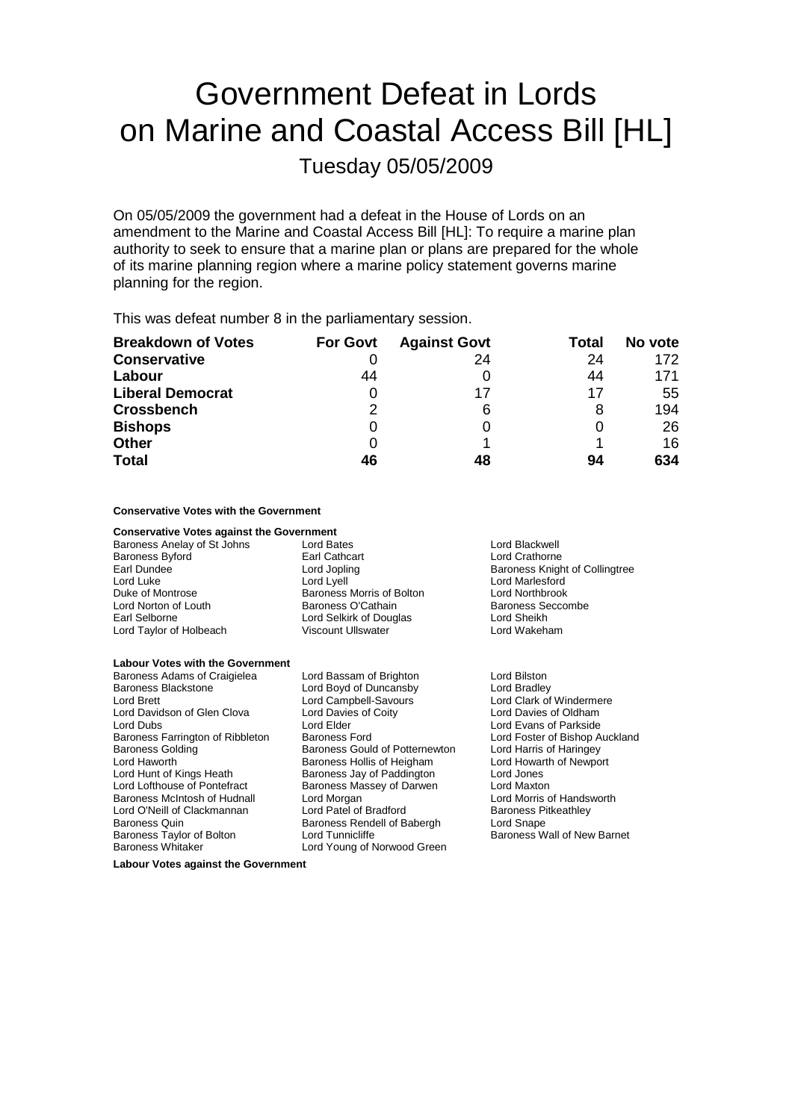## Government Defeat in Lords on Marine and Coastal Access Bill [HL] Tuesday 05/05/2009

On 05/05/2009 the government had a defeat in the House of Lords on an amendment to the Marine and Coastal Access Bill [HL]: To require a marine plan authority to seek to ensure that a marine plan or plans are prepared for the whole of its marine planning region where a marine policy statement governs marine planning for the region.

This was defeat number 8 in the parliamentary session.

| <b>Breakdown of Votes</b> | <b>For Govt</b> | <b>Against Govt</b> | Total | No vote |
|---------------------------|-----------------|---------------------|-------|---------|
| <b>Conservative</b>       |                 | 24                  | 24    | 172     |
| Labour                    | 44              |                     | 44    | 171     |
| <b>Liberal Democrat</b>   |                 | 17                  | 17    | 55      |
| <b>Crossbench</b>         | 2               | 6                   |       | 194     |
| <b>Bishops</b>            | 0               |                     |       | 26      |
| <b>Other</b>              |                 |                     |       | 16      |
| <b>Total</b>              | 46              | 48                  | 94    | 634     |

## **Conservative Votes with the Government**

| <b>Conservative Votes against the Government</b> |                                |                                |
|--------------------------------------------------|--------------------------------|--------------------------------|
| Baroness Anelay of St Johns                      | Lord Bates                     | Lord Blackwell                 |
| Baroness Byford                                  | Earl Cathcart                  | Lord Crathorne                 |
| Earl Dundee                                      | Lord Jopling                   | Baroness Knight of Collingtree |
| Lord Luke                                        | Lord Lyell                     | Lord Marlesford                |
| Duke of Montrose                                 | Baroness Morris of Bolton      | <b>Lord Northbrook</b>         |
| Lord Norton of Louth                             | Baroness O'Cathain             | Baroness Seccombe              |
| Earl Selborne                                    | Lord Selkirk of Douglas        | Lord Sheikh                    |
| Lord Taylor of Holbeach                          | <b>Viscount Ullswater</b>      | Lord Wakeham                   |
| <b>Labour Votes with the Government</b>          |                                |                                |
| Baroness Adams of Craigielea                     | Lord Bassam of Brighton        | Lord Bilston                   |
| Baroness Blackstone                              | Lord Boyd of Duncansby         | Lord Bradley                   |
| Lord Brett                                       | Lord Campbell-Savours          | Lord Clark of Windermere       |
| Lord Davidson of Glen Clova                      | Lord Davies of Coity           | Lord Davies of Oldham          |
| Lord Dubs                                        | Lord Elder                     | Lord Evans of Parkside         |
| Baroness Farrington of Ribbleton                 | <b>Baroness Ford</b>           | Lord Foster of Bishop Auckland |
| Baroness Golding                                 | Baroness Gould of Potternewton | Lord Harris of Haringey        |
| Lord Haworth                                     | Baroness Hollis of Heigham     | Lord Howarth of Newport        |
| Lord Hunt of Kings Heath                         | Baroness Jay of Paddington     | Lord Jones                     |
|                                                  |                                |                                |

Lord Lofthouse of Pontefract **Baroness Massey of Darwen** Lord Maxton<br>Baroness McIntosh of Hudnall Lord Morgan **Lord Maxton** Lord Morris of Handsworth Baroness McIntosh of Hudnall Lord Morgan Lord Cord Lord Morris of Handsworth Cord Cord Cord Patel of Bradford Cord Patel of Bradford Baroness Pitkeathley Baroness Quin **Baroness Rendell of Babergh** Lord Snape<br>Baroness Taylor of Bolton Lord Tunnicliffe **Baroness W** Baroness W Baroness Taylor of Bolton Lord Tunnicliffe Consumers Wall of New Barnet<br>
Baroness Whitaker Lord Young of Norwood Green Lord Young of Norwood Green

**Labour Votes against the Government**

Lord O'Neill of Clackmannan